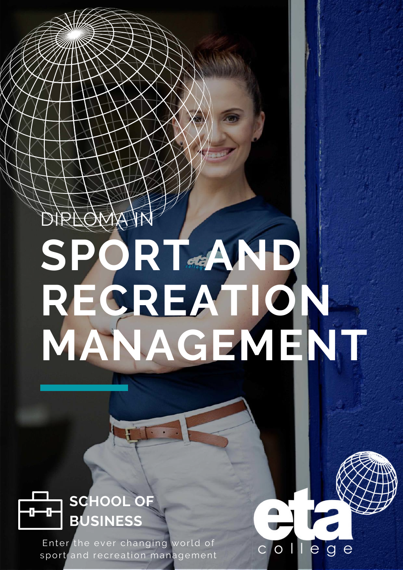# **SPORT AND RECREATION [MANAGEMENT](https://www.etacollege.com/management-studies/diploma-sport-and-recreation-management/)** DIPLOMA IN



Enter the ever changing world of sport and recreation management

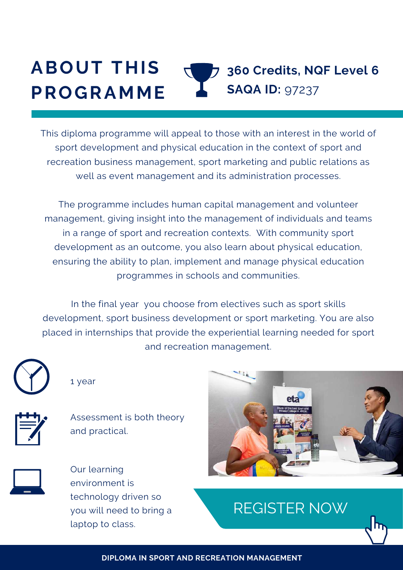#### **ABOUT THIS PROGRAMME 360 Credits, NQF Level 6 SAQA ID:** 97237

This diploma programme will appeal to those with an interest in the world of sport development and physical education in the context of sport and recreation business management, sport marketing and public relations as well as event management and its administration processes.

The programme includes human capital management and volunteer management, giving insight into the management of individuals and teams in a range of sport and recreation contexts. With community sport development as an outcome, you also learn about physical education, ensuring the ability to plan, implement and manage physical education programmes in schools and communities.

In the final year you choose from electives such as sport skills development, sport business development or sport marketing. You are also placed in internships that provide the experiential learning needed for sport and recreation management.



1 year



Assessment is both theory and practical.



Our learning environment is technology driven so you will need to bring a laptop to class.



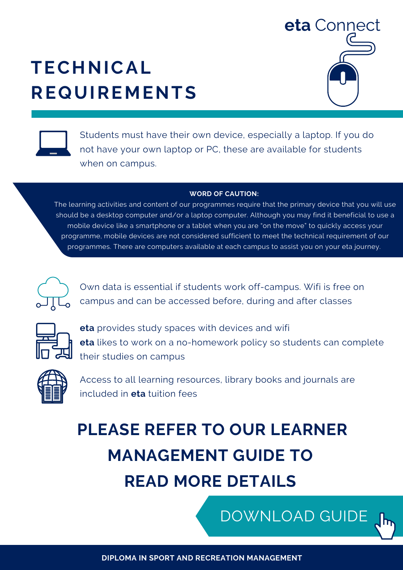# **TECHNICAL REQUIREMENTS**





Students must have their own device, especially a laptop. If you do not have your own laptop or PC, these are available for students when on campus.

#### **WORD OF CAUTION:**

The learning activities and content of our programmes require that the primary device that you will use should be a desktop computer and/or a laptop computer. Although you may find it beneficial to use a mobile device like a smartphone or a tablet when you are "on the move" to quickly access your programme, mobile devices are not considered sufficient to meet the technical requirement of our [programmes.](https://www.etacollege.com/admissions/online-applications/) There are computers available at each campus to assist you on your eta journey.



Own data is essential if students work off-campus. Wifi is free on campus and can be accessed before, during and after classes



**eta** provides study spaces with devices and wifi **eta** likes to work on a no-homework policy so students can complete their studies on campus



Access to all learning resources, library books and journals are included in **eta** tuition fees

# **PLEASE REFER TO OUR LEARNER MANAGEMENT GUIDE TO READ MORE DETAILS**

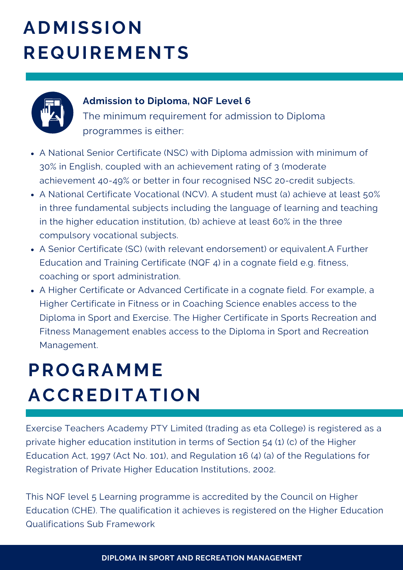# **ADMISSION REQUIREMENTS**



#### **Admission to Diploma, NQF Level 6**

The minimum requirement for admission to Diploma programmes is either:

- A National Senior Certificate (NSC) with Diploma admission with minimum of 30% in English, coupled with an achievement rating of 3 (moderate achievement 40-49% or better in four recognised NSC 20-credit subjects.
- A National Certificate Vocational (NCV). A student must (a) achieve at least 50% in three fundamental subjects including the language of learning and teaching in the higher education institution, (b) achieve at least 60% in the three compulsory vocational subjects.
- A Senior Certificate (SC) (with relevant endorsement) or equivalent.A Further Education and Training Certificate (NQF 4) in a cognate field e.g. fitness, coaching or sport administration.
- A Higher Certificate or Advanced Certificate in a cognate field. For example, a Higher Certificate in Fitness or in Coaching Science enables access to the Diploma in Sport and Exercise. The Higher Certificate in Sports Recreation and Fitness Management enables access to the Diploma in Sport and Recreation Management.

### **PROGRAMME ACCREDITATION**

Exercise Teachers Academy PTY Limited (trading as eta College) is registered as a private higher education institution in terms of Section 54 (1) (c) of the Higher Education Act, 1997 (Act No. 101), and Regulation 16 (4) (a) of the Regulations for Registration of Private Higher Education Institutions, 2002.

This NQF level 5 Learning programme is accredited by the Council on Higher Education (CHE). The qualification it achieves is registered on the Higher Education Qualifications Sub Framework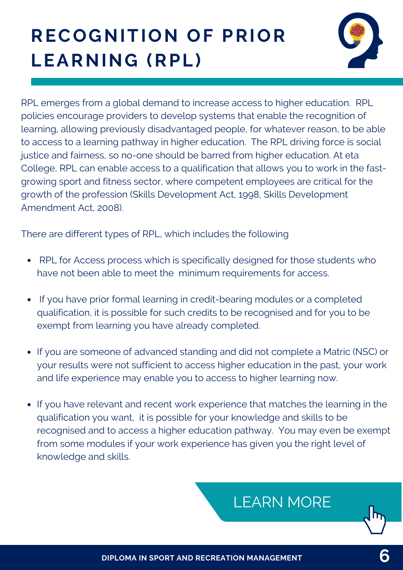# **RECOGNITION OF PRIOR LEARNING (RPL)**



RPL emerges from a global demand to increase access to higher education. RPL policies encourage providers to develop systems that enable the recognition of learning, allowing previously disadvantaged people, for whatever reason, to be able to access to a learning pathway in higher education. The RPL driving force is social justice and fairness, so no-one should be barred from higher education. At eta College, RPL can enable access to a qualification that allows you to work in the fastgrowing sport and fitness sector, where competent employees are critical for the growth of the profession (Skills Development Act, 1998, Skills Development Amendment Act, 2008).

There are different types of RPL, which includes the following

- RPL for Access process which is specifically designed for those students who have not been able to meet the minimum requirements for access.
- If you have prior formal learning in credit-bearing modules or a completed qualification, it is possible for such credits to be recognised and for you to be exempt from learning you have already completed.
- If you are someone of advanced standing and did not complete a Matric (NSC) or your results were not sufficient to access higher education in the past, your work and life experience may enable you to access to higher learning now.
- If you have relevant and recent work experience that matches the learning in the qualification you want, it is possible for your knowledge and skills to be recognised and to access a higher education pathway. You may even be exempt from some modules if your work experience has given you the right level of knowledge and skills.

### [LEARN](https://www.etacollege.com/educational-pathways/recognition-of-previous-education/) MORE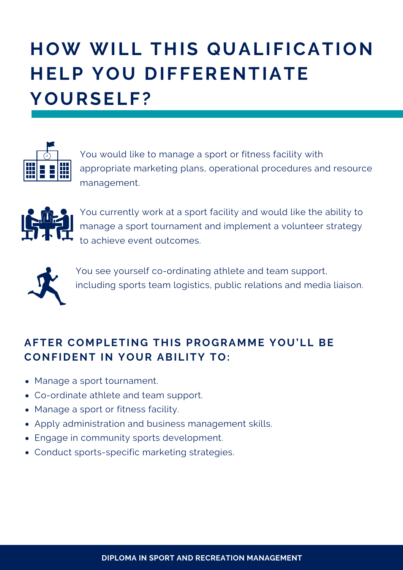# **HOW WILL THIS QUALIFICATION HELP YOU DIFFERENTIATE YOURSELF?**



You would like to manage a sport or fitness facility with appropriate marketing plans, operational procedures and resource management.



You currently work at a sport facility and would like the ability to manage a sport tournament and implement a volunteer strategy to achieve event outcomes.



You see yourself co-ordinating athlete and team support, including sports team logistics, public relations and media liaison.

#### **AFTER COMPLETING THIS PROGRAMME YOU'LL BE CONFIDENT IN YOUR ABILITY TO:**

- Manage a sport tournament.
- Co-ordinate athlete and team support.
- Manage a sport or fitness facility.
- Apply administration and business management skills.
- Engage in community sports development.
- Conduct sports-specific marketing strategies.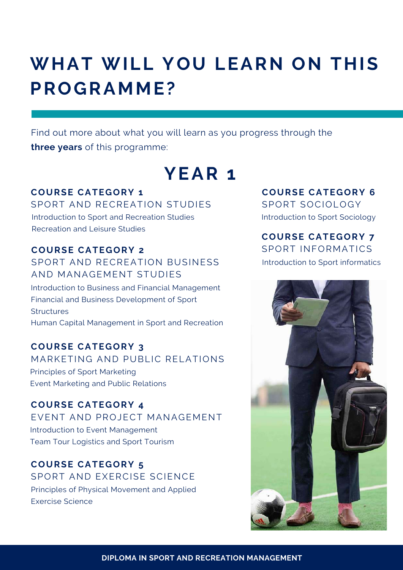### **WHAT WILL YOU LEARN ON THIS PROGRAMME?**

Find out more about what you will learn as you progress through the **three years** of this programme:

### **YEAR 1**

#### **COURSE CATEGORY 1**

SPORT AND RECREATION STUDIES Introduction to Sport and Recreation Studies Recreation and Leisure Studies

#### **COURSE CATEGORY 2**

#### SPORT AND RECREATION BUSINESS AND MANAGEMENT STUDIES

Introduction to Business and Financial Management Financial and Business Development of Sport **Structures** Human Capital Management in Sport and Recreation

#### **COURSE CATEGORY 3**

MARKETING AND PUBLIC RELATIONS Principles of Sport Marketing Event Marketing and Public Relations

**COURSE CATEGORY 4** EVENT AND PROJECT MANAGEMENT Introduction to Event Management Team Tour Logistics and Sport Tourism

**COURSE CATEGORY 5** SPORT AND EXERCISE SCIENCE Principles of Physical Movement and Applied Exercise Science

#### **COURSE CATEGORY 6**

SPORT SOCIOLOGY Introduction to Sport Sociology

#### **COURSE CATEGORY 7**

SPORT INFORMATICS Introduction to Sport informatics

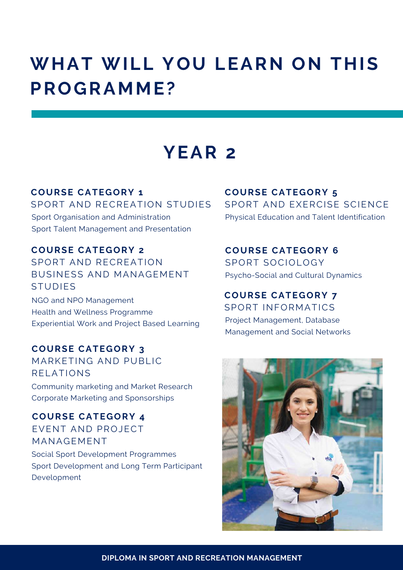### **WHAT WILL YOU LEARN ON THIS PROGRAMME?**

### **YEAR 2**

**COURSE CATEGORY 1** SPORT AND RECREATION STUDIES

Sport Organisation and Administration Sport Talent Management and Presentation

**COURSE CATEGORY 2** SPORT AND RECREATION BUSINESS AND MANAGEMENT STUDIES

NGO and NPO Management Health and Wellness Programme Experiential Work and Project Based Learning

**COURSE CATEGORY 3**

MARKETING AND PUBLIC RELATIONS Community marketing and Market Research Corporate Marketing and Sponsorships

**COURSE CATEGORY 4** EVENT AND PROJECT MANAGEMENT Social Sport Development Programmes Sport Development and Long Term Participant Development

**COURSE CATEGORY 5** SPORT AND EXERCISE SCIENCE Physical Education and Talent Identification

**COURSE CATEGORY 6** SPORT SOCIOLOGY Psycho-Social and Cultural Dynamics

#### **COURSE CATEGORY 7**

SPORT INFORMATICS Project Management, Database Management and Social Networks

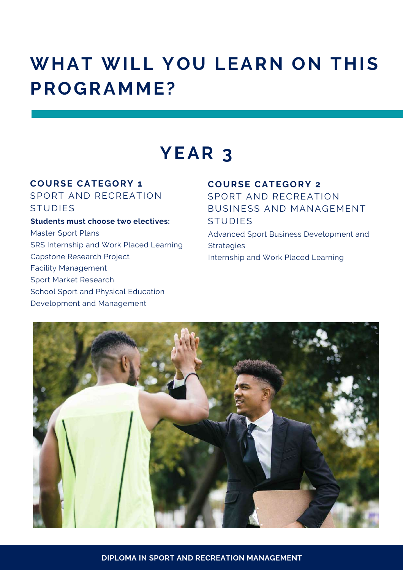### **WHAT WILL YOU LEARN ON THIS PROGRAMME?**

### **YEAR 3**

#### **COURSE CATEGORY 1**

SPORT AND RECREATION STUDIES

#### **Students must choose two electives:**

Master Sport Plans SRS Internship and Work Placed Learning Capstone Research Project Facility Management Sport Market Research School Sport and Physical Education Development and Management

#### **COURSE CATEGORY 2**

SPORT AND RECREATION BUSINESS AND MANAGEMENT STUDIES

Advanced Sport Business Development and Strategies Internship and Work Placed Learning

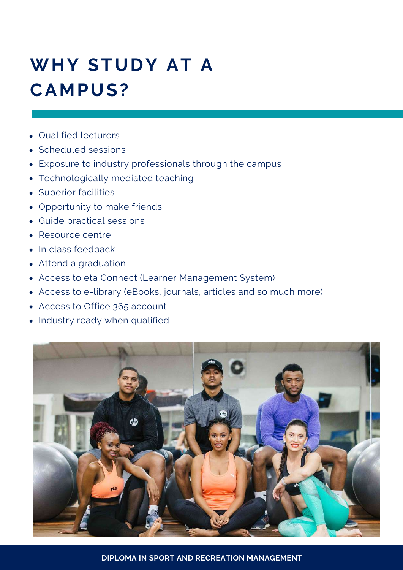# **WHY STUDY AT A CAMPUS?**

- Qualified lecturers
- Scheduled sessions
- Exposure to industry professionals through the campus
- Technologically mediated teaching
- Superior facilities
- Opportunity to make friends
- Guide practical sessions
- Resource centre
- In class feedback
- Attend a graduation
- Access to eta Connect (Learner Management System)
- Access to e-library (eBooks, journals, articles and so much more)
- Access to Office 365 account
- Industry ready when qualified



**DIPLOMA IN SPORT AND RECREATION MANAGEMENT**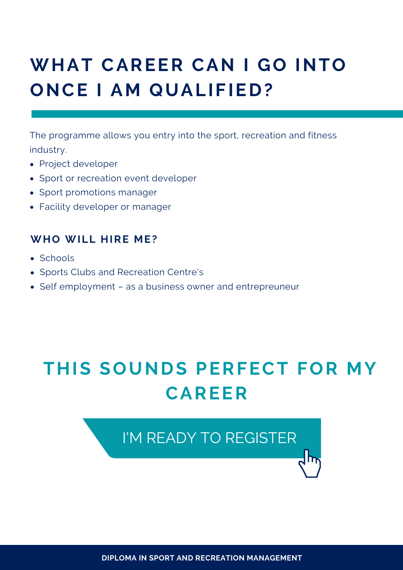# **WHAT CAREER CAN I GO INTO ONCE I AM QUALIFIED?**

The programme allows you entry into the sport, recreation and fitness industry.

- Project developer
- Sport or recreation event developer
- Sport promotions manager
- Facility developer or manager

#### **WHO WILL HIRE ME?**

- Schools
- Sports Clubs and Recreation Centre's
- Self employment as a business owner and entrepreuneur

# **THIS SOUNDS PERFECT FOR MY CAREER**

I'M READY TO [REGISTER](https://www.etacollege.com/admissions/online-applications/)